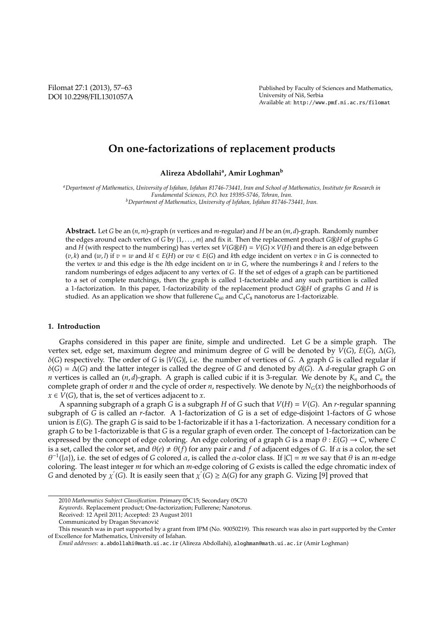Filomat 27:1 (2013), 57–63 DOI 10.2298/FIL1301057A Published by Faculty of Sciences and Mathematics, University of Niš, Serbia Available at: http://www.pmf.ni.ac.rs/filomat

# **On one-factorizations of replacement products**

**Alireza Abdollahi<sup>a</sup> , Amir Loghman<sup>b</sup>**

*<sup>a</sup>Department of Mathematics, University of Isfahan, Isfahan 81746-73441, Iran and School of Mathematics, Institute for Research in Fundamental Sciences, P.O. box 19395-5746, Tehran, Iran. <sup>b</sup>Department of Mathematics, University of Isfahan, Isfahan 81746-73441, Iran.*

**Abstract.** Let *G* be an (*n*, *m*)-graph (*n* vertices and *m*-regular) and *H* be an (*m*, *d*)-graph. Randomly number the edges around each vertex of *G* by {1, . . . , *m*} and fix it. Then the replacement product *G@H* of graphs *G* and *H* (with respect to the numbering) has vertex set  $V(G \otimes H) = V(G) \times V(H)$  and there is an edge between  $(v, k)$  and  $(w, l)$  if  $v = w$  and  $kl \in E(H)$  or  $vw \in E(G)$  and  $k$ th edge incident on vertex  $v$  in *G* is connected to the vertex *w* and this edge is the *l*th edge incident on *w* in *G*, where the numberings *k* and *l* refers to the random numberings of edges adjacent to any vertex of *G*. If the set of edges of a graph can be partitioned to a set of complete matchings, then the graph is called 1-factorizable and any such partition is called a 1-factorization. In this paper, 1-factorizability of the replacement product *G*@*H* of graphs *G* and *H* is studied. As an application we show that fullerene  $C_{60}$  and  $C_4C_8$  nanotorus are 1-factorizable.

#### **1. Introduction**

Graphs considered in this paper are finite, simple and undirected. Let *G* be a simple graph. The vertex set, edge set, maximum degree and minimum degree of *G* will be denoted by *V*(*G*), *E*(*G*), ∆(*G*), δ(*G*) respectively. The order of *G* is |*V*(*G*)|, i.e. the number of vertices of *G*. A graph *G* is called regular if δ(*G*) = ∆(*G*) and the latter integer is called the degree of *G* and denoted by *d*(*G*). A *d*-regular graph *G* on *n* vertices is called an (*n*, *d*)-graph. A graph is called cubic if it is 3-regular. We denote by *K<sup>n</sup>* and *C<sup>n</sup>* the complete graph of order *n* and the cycle of order *n*, respectively. We denote by  $N_G(x)$  the neighborhoods of  $x \in V(G)$ , that is, the set of vertices adjacent to *x*.

A spanning subgraph of a graph *G* is a subgraph *H* of *G* such that *V*(*H*) = *V*(*G*). An *r*-regular spanning subgraph of *G* is called an *r*-factor. A 1-factorization of *G* is a set of edge-disjoint 1-factors of *G* whose union is *E*(*G*). The graph *G* is said to be 1-factorizable if it has a 1-factorization. A necessary condition for a graph *G* to be 1-factorizable is that *G* is a regular graph of even order. The concept of 1-factorization can be expressed by the concept of edge coloring. An edge coloring of a graph *G* is a map  $\theta$  :  $E(G) \rightarrow C$ , where *C* is a set, called the color set, and  $\theta(e) \neq \theta(f)$  for any pair *e* and *f* of adjacent edges of *G*. If  $\alpha$  is a color, the set  $\theta^{-1}(\{\alpha\})$ , i.e. the set of edges of *G* colored  $\alpha$ , is called the  $\alpha$ -color class. If  $|C| = m$  we say that  $\theta$  is an *m*-edge coloring. The least integer *m* for which an *m*-edge coloring of *G* exists is called the edge chromatic index of *G* and denoted by  $\chi'(G)$ . It is easily seen that  $\chi'(G) \ge \Delta(G)$  for any graph *G*. Vizing [9] proved that

<sup>2010</sup> *Mathematics Subject Classification*. Primary 05C15; Secondary 05C70

*Keywords*. Replacement product; One-factorization; Fullerene; Nanotorus.

Received: 12 April 2011; Accepted: 23 August 2011

Communicated by Dragan Stevanovic´

This research was in part supported by a grant from IPM (No. 90050219). This research was also in part supported by the Center of Excellence for Mathematics, University of Isfahan.

*Email addresses:* a.abdollahi@math.ui.ac.ir (Alireza Abdollahi), aloghman@math.ui.ac.ir (Amir Loghman)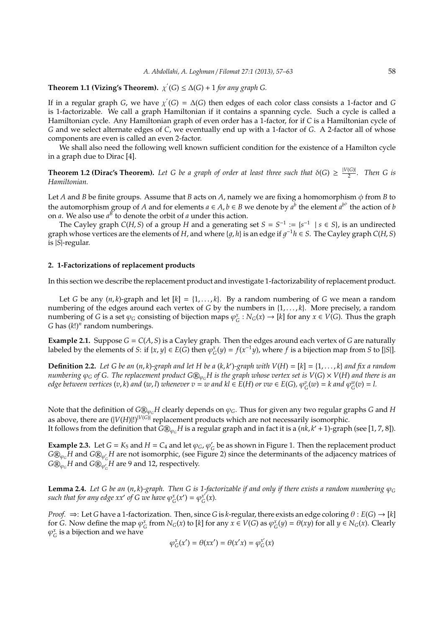## **Theorem 1.1 (Vizing's Theorem).**  $\chi'(G) \leq \Delta(G) + 1$  for any graph G.

If in a regular graph *G*, we have  $\chi'(G) = \Delta(G)$  then edges of each color class consists a 1-factor and *G* is 1-factorizable. We call a graph Hamiltonian if it contains a spanning cycle. Such a cycle is called a Hamiltonian cycle. Any Hamiltonian graph of even order has a 1-factor, for if *C* is a Hamiltonian cycle of *G* and we select alternate edges of *C*, we eventually end up with a 1-factor of *G*. A 2-factor all of whose components are even is called an even 2-factor.

We shall also need the following well known sufficient condition for the existence of a Hamilton cycle in a graph due to Dirac [4].

**Theorem 1.2 (Dirac's Theorem).** Let G be a graph of order at least three such that  $\delta(G) \geq \frac{|V(G)|}{2}$  $rac{(G_i)}{2}$ . Then G is *Hamiltonian.*

Let *A* and *B* be finite groups. Assume that *B* acts on *A*, namely we are fixing a homomorphism  $\phi$  from *B* to the automorphism group of *A* and for elements  $a \in A$ ,  $b \in B$  we denote by  $a^b$  the element  $a^{b^{\phi}}$  the action of *b* on *a*. We also use  $a^B$  to denote the orbit of *a* under this action.

The Cayley graph  $C(H, S)$  of a group *H* and a generating set  $S = S^{-1} := \{s^{-1} \mid s \in S\}$ , is an undirected graph whose vertices are the elements of *H*, and where {g, h} is an edge if  $g^{-1}h \in S$ . The Cayley graph *C*(*H*, *S*) is |*S*|-regular.

#### **2. 1-Factorizations of replacement products**

In this section we describe the replacement product and investigate 1-factorizability of replacement product.

Let *G* be any  $(n, k)$ -graph and let  $[k] = \{1, \ldots, k\}$ . By a random numbering of *G* we mean a random numbering of the edges around each vertex of *G* by the numbers in {1, . . . , *k*}. More precisely, a random numbering of *G* is a set  $\varphi_G$  consisting of bijection maps  $\varphi_G^x : N_G(x) \to [k]$  for any  $x \in V(G)$ . Thus the graph *G* has (*k*!)*<sup>n</sup>* random numberings.

**Example 2.1.** Suppose  $G = C(A, S)$  is a Cayley graph. Then the edges around each vertex of *G* are naturally labeled by the elements of *S*: if {*x*, *y*}  $\in E(G)$  then  $\varphi_G^x(y) = f(x^{-1}y)$ , where *f* is a bijection map from *S* to [|S|].

**Definition 2.2.** Let G be an  $(n, k)$ -graph and let H be a  $(k, k')$ -graph with  $V(H) = [k] = \{1, \ldots, k\}$  and fix a random *numbering*  $\varphi_G$  *of G. The replacement product G* $\mathbb{B}_{\varphi_G}H$  *is the graph whose vertex set is*  $V(G) \times V(H)$  *and there is an* edge between vertices  $(v,k)$  and  $(w,l)$  whenever  $v=w$  and  $kl\in E(H)$  or  $vw\in E(G)$ ,  $\varphi_G^{v}(w)=k$  and  $\varphi_G^{w}(v)=l.$ 

Note that the definition of  $G\mathbb{Q}_{\varphi_G}H$  clearly depends on  $\varphi_G$ . Thus for given any two regular graphs *G* and *H* as above, there are  $(|V(H)|!)^{|V(G)|}$  replacement products which are not necessarily isomorphic. It follows from the definition that  $\widehat{G\mathbb{B}_{\varphi_G}}H$  is a regular graph and in fact it is a  $(nk, k'+1)$ -graph (see [1, 7, 8]).

**Example 2.3.** Let  $G = K_5$  and  $H = C_4$  and let  $\varphi_G$ ,  $\varphi'_G$ *G* be as shown in Figure 1. Then the replacement product  $G\circledR_{\varphi_G}H$  and  $G\circledR_{\varphi_G'}H$  are not isomorphic, (see Figure 2) since the determinants of the adjacency matrices of  $G \circledR_{\varphi_G} H$  and  $G \circledR_{\varphi_G'} H$  are 9 and 12, respectively.

**Lemma 2.4.** *Let G be an*  $(n, k)$ -graph. Then G is 1-factorizable if and only if there exists a random numbering  $\varphi_G$ such that for any edge xx' of G we have  $\varphi_G^x(x') = \varphi_G^{x'}$  $_{G}^{x'}(x)$ .

*Proof.*  $\Rightarrow$ : Let *G* have a 1-factorization. Then, since *G* is *k*-regular, there exists an edge coloring  $\theta$  :  $E(G) \rightarrow [k]$ for *G*. Now define the map  $\varphi_G^x$  from  $N_G(x)$  to [k] for any  $x \in V(G)$  as  $\varphi_G^x(y) = \theta(xy)$  for all  $y \in N_G(x)$ . Clearly  $\varphi_G^x$  is a bijection and we have

$$
\varphi_G^x(x')=\theta(xx')=\theta(x'x)=\varphi_G^{x'}(x)
$$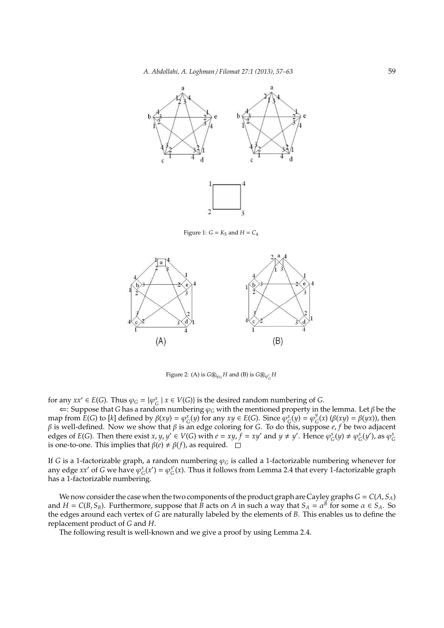

Figure 1:  $G = K_5$  and  $H = C_4$ 



Figure 2: (A) is  $G \otimes_{\varphi_G} H$  and (B) is  $G \otimes_{\varphi'_G} H$ 

for any  $xx' \in E(G)$ . Thus  $\varphi_G = {\varphi_G^x \mid x \in V(G)}$  is the desired random numbering of *G*.

⇐: Suppose that *G* has a random numbering φ*<sup>G</sup>* with the mentioned property in the lemma. Let β be the map from  $E(G)$  to [*k*] defined by  $\beta(xy) = \varphi_G^x(y)$  for any  $xy \in E(G)$ . Since  $\varphi_G^x(y) = \varphi_G^y$  $G<sup>y</sup><sub>G</sub>(x)$  (β(*xy*) = β(*yx*)), then β is well-defined. Now we show that β is an edge coloring for *G*. To do this, suppose *e*, *f* be two adjacent edges of  $E(G)$ . Then there exist  $x, y, y' \in V(G)$  with  $e = xy, f = xy'$  and  $y \neq y'$ . Hence  $\varphi_G^x(y) \neq \varphi_G^x(y')$ , as  $\varphi_G^x$ is one-to-one. This implies that  $\beta(e) \neq \beta(f)$ , as required.

If *G* is a 1-factorizable graph, a random numbering  $\varphi_G$  is called a 1-factorizable numbering whenever for any edge *xx'* of *G* we have  $\varphi_G^x(x') = \varphi_G^{x'}$  $G^x(G)$ . Thus it follows from Lemma 2.4 that every 1-factorizable graph has a 1-factorizable numbering.

We now consider the case when the two components of the product graph are Cayley graphs  $G = C(A, S_A)$ and  $H = C(B, S_B)$ . Furthermore, suppose that *B* acts on *A* in such a way that  $S_A = \alpha^B$  for some  $\alpha \in S_A$ . So the edges around each vertex of *G* are naturally labeled by the elements of *B*. This enables us to define the replacement product of *G* and *H*.

The following result is well-known and we give a proof by using Lemma 2.4.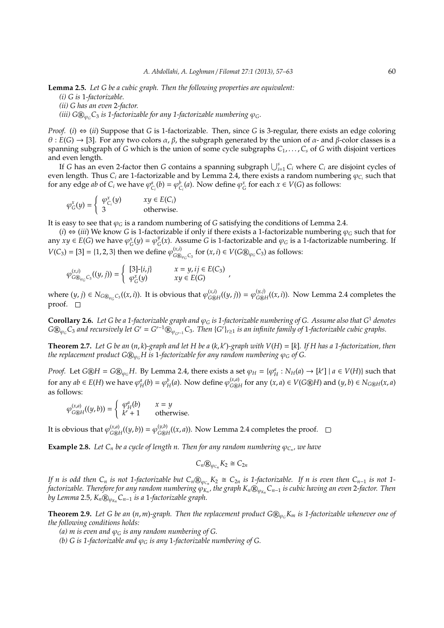**Lemma 2.5.** *Let G be a cubic graph. Then the following properties are equivalent: (i) G is* 1*-factorizable. (ii) G has an even* 2*-factor. (iii)*  $G\mathbb{R}_{\varphi_G}C_3$  *is 1-factorizable for any 1-factorizable numbering*  $\varphi_G$ *.* 

*Proof.* (*i*)  $\Leftrightarrow$  (*ii*) Suppose that *G* is 1-factorizable. Then, since *G* is 3-regular, there exists an edge coloring  $\theta$  : *E*(*G*)  $\rightarrow$  [3]. For any two colors  $\alpha$ ,  $\beta$ , the subgraph generated by the union of  $\alpha$ - and  $\beta$ -color classes is a spanning subgraph of *G* which is the union of some cycle subgraphs *C*1, . . . , *C<sup>s</sup>* of *G* with disjoint vertices and even length.

If *G* has an even 2-factor then *G* contains a spanning subgraph ∪*<sup>s</sup> <sup>i</sup>*=<sup>1</sup> *C<sup>i</sup>* where *C<sup>i</sup>* are disjoint cycles of even length. Thus  $C_i$  are 1-factorizable and by Lemma 2.4, there exists a random numbering  $\varphi_{C_i}$  such that for any edge *ab* of  $C_i$  we have  $\varphi_{C_i}^a(b) = \varphi_{C_i}^b(a)$ . Now define  $\varphi_G^x$  for each  $x \in V(G)$  as follows:

$$
\varphi_G^x(y) = \begin{cases} \varphi_{C_i}^x(y) & xy \in E(C_i) \\ 3 & \text{otherwise.} \end{cases}
$$

It is easy to see that  $\varphi_G$  is a random numbering of *G* satisfying the conditions of Lemma 2.4.

(*i*) ⇔ (*iii*) We know *G* is 1-factorizable if only if there exists a 1-factorizable numbering  $\varphi$ <sub>*G*</sub> such that for any  $xy \in E(G)$  we have  $\varphi_G^x(y) = \varphi_G^y$  $C_G^y(x)$ . Assume *G* is 1-factorizable and  $\varphi_G$  is a 1-factorizable numbering. If  $V(C_3) = [3] = \{1, 2, 3\}$  then we define  $\varphi_{C_3}^{(x,i)}$  $G_{G \otimes_{\varphi_G} C_3}$  for  $(x, i) \in V(G \otimes_{\varphi_G} C_3)$  as follows:

$$
\varphi^{(x,i)}_{G\circledast_{\varphi_G}C_3}((y,j))=\left\{\begin{array}{ll} [3]\text{-}\{i,j\} \qquad & x=y,ij\in E(C_3) \\ \varphi_G^x(y) \qquad & xy\in E(G) \end{array}\right.
$$

where  $(y, j) \in N_{G \circledast_{\varphi_G} C_3}((x, i))$ . It is obvious that  $\varphi_{G \circledast}^{(x, i)}$  $\varphi_{G\circledR}^{(x,i)}$  $((y, j)) = \varphi_{G\circledR}^{(y,j)}$  $G_{\text{GH}}^{(y,y)}((x,i))$ . Now Lemma 2.4 completes the proof.  $\square$ 

,

**Corollary 2.6.** Let G be a 1-factorizable graph and  $\varphi_G$  is 1-factorizable numbering of G. Assume also that  $G^1$  denotes  $G\circledR_{\varphi_G}C_3$  and recursively let  $G^r=G^{r-1}\circledR_{\varphi_{G^{r-1}}}C_3$ . Then  $\{G^r\}_{r\geq 1}$  is an infinite family of 1-factorizable cubic graphs.

**Theorem 2.7.** *Let G be an* (*n*, *k*)*-graph and let H be a* (*k*, *k* ′ )*-graph with V*(*H*) = [*k*]*. If H has a 1-factorization, then the replacement product*  $G\mathbb{Q}_{\varphi_G}H$  *is* 1-factorizable for any random numbering  $\varphi_G$  of G.

*Proof.* Let  $G\otimes H = G\otimes_{\varphi_G} H$ . By Lemma 2.4, there exists a set  $\varphi_H = \{\varphi_H^a : N_H(a) \to [k'] \mid a \in V(H)\}$  such that for any  $ab \in E(H)$  we have  $\varphi_H^a(b) = \varphi_H^b(a)$ . Now define  $\varphi_{G \circledast}^{(x, a)}$  $G_{\text{C@}H}^{(x,a)}$  for any  $(x, a) \in V(G \text{RH})$  and  $(y, b) \in N_{G \text{RH}}(x, a)$ as follows:

$$
\varphi_{G \oplus H}^{(x,a)}((y,b)) = \begin{cases} \varphi_H^a(b) & x = y \\ k' + 1 & \text{otherwise.} \end{cases}
$$

It is obvious that  $\varphi_{G \circledR}^{(x,a)}$  $\varphi_{G\circledR H}^{(x,a)}((y,b)) = \varphi_{G\circledR H}^{(y,b)}$  $G_{\text{GH}}^{(y,\nu)}((x,a))$ . Now Lemma 2.4 completes the proof.

**Example 2.8.** Let  $C_n$  be a cycle of length n. Then for any random numbering  $\varphi_{C_n}$ , we have

$$
C_n @_{\varphi_{C_n}} K_2 \cong C_{2n}
$$

*If n is odd then*  $C_n$  *is not 1-factorizable but*  $C_n \mathbb{D}_{\varphi_{C_n}} K_2 \cong C_{2n}$  *is 1-factorizable. If n is even then*  $C_{n-1}$  *is not 1factorizable. Therefore for any random numbering* φ*<sup>K</sup><sup>n</sup> , the graph Kn*r<sup>φ</sup>*Kn Cn*−<sup>1</sup> *is cubic having an even* 2*-factor. Then by Lemma* 2.5*, Kn*r<sup>φ</sup>*Kn Cn*−<sup>1</sup> *is a* 1*-factorizable graph.*

**Theorem 2.9.** Let G be an  $(n, m)$ -graph. Then the replacement product  $G\mathbb{Q}_{\varphi_G}K_m$  is 1-factorizable whenever one of *the following conditions holds:*

- (*a*) *m is even and*  $\varphi_G$  *is any random numbering of G.*
- *(b) G is 1-factorizable and* φ*<sup>G</sup> is any* 1*-factorizable numbering of G.*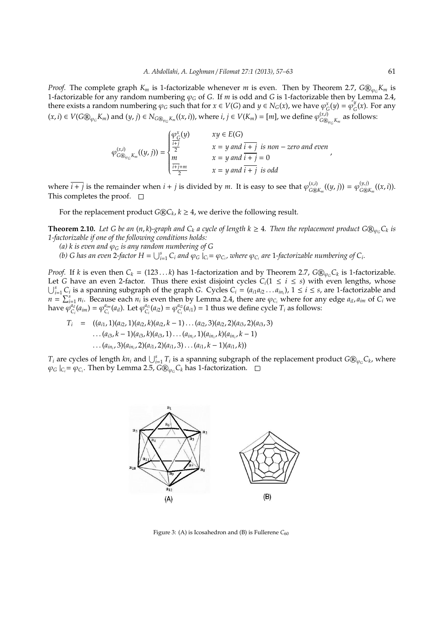*Proof.* The complete graph  $K_m$  is 1-factorizable whenever *m* is even. Then by Theorem 2.7,  $G\mathbb{Q}_{\varphi_G}K_m$  is 1-factorizable for any random numbering φ*<sup>G</sup>* of *G*. If *m* is odd and *G* is 1-factorizable then by Lemma 2.4, there exists a random numbering  $\varphi_G$  such that for  $x \in V(G)$  and  $y \in N_G(x)$ , we have  $\varphi_G^x(y) = \varphi_G^y(y)$  $G^y$ <sub>G</sub> $(x)$ . For any  $(x, i) \in V(G \otimes_{\varphi_G} K_m)$  and  $(y, j) \in N_{G \otimes_{\varphi_G} K_m}((x, i))$ , where  $i, j \in V(K_m) = [m]$ , we define  $\varphi_{G \otimes}^{(x, i)}$  $G \mathbb{Q}_{\varphi_G} K_m$  as follows:

$$
\varphi_{G \otimes_{\varphi_G} K_m}^{(x,i)}((y,j)) = \begin{cases} \frac{\varphi_G^x(y)}{\frac{i+j}{2}} & xy \in E(G) \\ \frac{i+j}{2} & x = y \text{ and } \frac{i+j}{2} \text{ is non-zero and even} \\ m & x = y \text{ and } \frac{i+j}{2} = 0 \\ x = y \text{ and } \frac{i+j}{2} \text{ is odd} \end{cases}
$$

where  $\overline{i+j}$  is the remainder when  $i+j$  is divided by *m*. It is easy to see that  $\varphi_{\widehat{C(\widehat{K})}}^{(x,i)}$  $\varphi_{G\circledR}^{(x,i)}((y,j)) = \varphi_{G\circledR}^{(y,j)}$  $\int_{G\otimes K_m}^{(y,y)}((x,i)).$ This completes the proof.  $\square$ 

For the replacement product  $G\mathbb{R}C_k$ ,  $k \geq 4$ , we derive the following result.

**Theorem 2.10.** Let G be an  $(n, k)$ -graph and  $C_k$  a cycle of length  $k \geq 4$ . Then the replacement product G $\mathbb{Q}_{\varphi_G} C_k$  is *1-factorizable if one of the following conditions holds:*

- *(a) k is even and* φ*<sup>G</sup> is any random numbering of G*
- (b) G has an even 2-factor  $H = \bigcup_{i=1}^{s} C_i$  and  $\varphi_G \mid_{C_i} = \varphi_{C_i}$ , where  $\varphi_{C_i}$  are 1-factorizable numbering of  $C_i$ .

*Proof.* If *k* is even then  $C_k = (123 \ldots k)$  has 1-factorization and by Theorem 2.7,  $G \mathbb{D}_{\varphi_G} C_k$  is 1-factorizable. Let *G* have an even 2-factor. Thus there exist disjoint cycles  $C_i(1 \le i \le s)$  with even lengths, whose  $\bigcup_{i=1}^{s} C_i$  is a spanning subgraph of the graph *G*. Cycles  $C_i = (a_{i1}a_{i2} \dots a_{in_i})$ ,  $1 \le i \le s$ , are 1-factorizable and  $n = \sum_{i=1}^{s} n_i$ . Because each  $n_i$  is even then by Lemma 2.4, there are  $\varphi_{C_i}$  where for any edge  $a_{il}$ ,  $a_{im}$  of  $C_i$  we have  $\varphi_c^{a_{il}}$  $\varphi_{C_i}^{a_{i\bar{i}}} (a_{i\bar{i}}) = \varphi_{C_i}^{a_{i\bar{i}}},$  $\int_{C_i}^{a_{im}} (a_{il})$ . Let  $\varphi_{C_i}^{a_{il}}$  $\varphi_{C_i}^{a_{i1}}(a_{i2}) = \varphi_{C_i}^{a_{i2}}$  $C_i^{u_{i2}}(a_{i1}) = 1$  thus we define cycle  $T_i$  as follows:

$$
T_i = ((a_{i1}, 1)(a_{i2}, 1)(a_{i2}, k)(a_{i2}, k - 1)...(a_{i2}, 3)(a_{i2}, 2)(a_{i3}, 2)(a_{i3}, 3)...(a_{i3}, k - 1)(a_{i3}, k)(a_{i3}, 1)...(a_{in_i}, 1)(a_{in_i}, k)(a_{in_i}, k - 1)...(a_{in_i}, 3)(a_{in_i}, 2)(a_{i1}, 2)(a_{i1}, 3)...(a_{i1}, k - 1)(a_{i1}, k))
$$

*T*<sub>*i*</sub> are cycles of length *kn*<sub>*i*</sub> and  $\bigcup_{i=1}^s T_i$  is a spanning subgraph of the replacement product  $G\mathbb{Q}_{\varphi_G}C_k$ , where  $\varphi_G \mid_{C_i} = \varphi_{C_i}$ . Then by Lemma 2.5,  $G \circledR_{\varphi_G} C_k$  has 1-factorization.



Figure 3: (A) is Icosahedron and (B) is Fullerene  $C_{60}$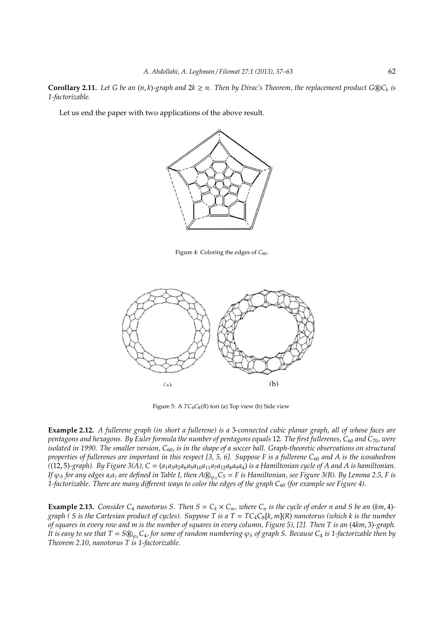**Corollary 2.11.** Let G be an  $(n, k)$ -graph and  $2k \geq n$ . Then by Dirac's Theorem, the replacement product G®C<sub>k</sub> is *1-factorizable.*

Let us end the paper with two applications of the above result.



Figure 4: Coloring the edges of *C*<sub>60</sub>.



Figure 5: A  $TC_4C_8(R)$  tori (a) Top view (b) Side view

**Example 2.12.** *A fullerene graph (in short a fullerene) is a* 3*-connected cubic planar graph, all of whose faces are pentagons and hexagons. By Euler formula the number of pentagons equals* 12*. The first fullerenes, C*<sup>60</sup> *and C*70*, were isolated in 1990. The smaller version,* C<sub>60</sub>, is in the shape of a soccer ball. Graph-theoretic observations on structural *properties of fullerenes are important in this respect [3, 5, 6]. Suppose F is a fullerene*  $C_{60}$  *and A is the icosahedron*  $(12, 5)$ -graph). By Figure 3(A),  $C = (a_1a_3a_2a_6a_5a_{10}a_{11}a_7a_{12}a_8a_9a_4)$  *is a Hamiltonian cycle of A and A is hamiltonian. If*  $\varphi_A$  *for any edges a<sub>i</sub>a<sub>j</sub> are defined in Table I, then A* $\mathcal{D}_{\varphi_A}C_5 = F$  *is Hamiltonian, see Figure 3(B). By Lemma 2.5, F is 1-factorizable. There are many different ways to color the edges of the graph C<sub>60</sub> (for example see Figure 4).* 

**Example 2.13.** *Consider C<sub>4</sub> <i>nanotorus S. Then S* =  $C_k \times C_m$ *, where C<sub>n</sub> is the cycle of order n and S be an (km, 4)graph ( S is the Cartesian product of cycles). Suppose T is a T* = *TC*4*C*8[*k*, *m*](*R*) *nanotorus (which k is the number of squares in every row and m is the number of squares in every column, Figure 5), [2]. Then T is an* (4*km*, 3)*-graph. It is easy to see that*  $T = S \mathbb{Q}_{\varphi} C_4$ , for some of random numbering  $\varphi_S$  of graph S. Because  $C_4$  *is* 1-factorizable then by *Theorem 2.10, nanotorus T is 1-factorizable.*